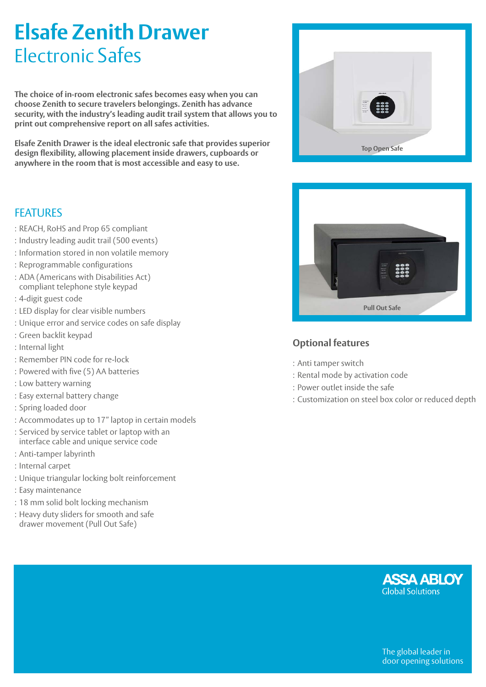# **Elsafe Zenith Drawer**  Electronic Safes

**The choice of in-room electronic safes becomes easy when you can choose Zenith to secure travelers belongings. Zenith has advance security, with the industry's leading audit trail system that allows you to print out comprehensive report on all safes activities.** 

**Elsafe Zenith Drawer is the ideal electronic safe that provides superior design flexibility, allowing placement inside drawers, cupboards or anywhere in the room that is most accessible and easy to use.**





- : REACH, RoHS and Prop 65 compliant
- : Industry leading audit trail (500 events)
- : Information stored in non volatile memory
- : Reprogrammable configurations
- : ADA (Americans with Disabilities Act)
- compliant telephone style keypad
- : 4-digit guest code
- : LED display for clear visible numbers
- : Unique error and service codes on safe display
- : Green backlit keypad
- : Internal light
- : Remember PIN code for re-lock
- : Powered with five (5) AA batteries
- : Low battery warning
- : Easy external battery change
- : Spring loaded door
- : Accommodates up to 17" laptop in certain models
- : Serviced by service tablet or laptop with an interface cable and unique service code
- : Anti-tamper labyrinth
- : Internal carpet
- : Unique triangular locking bolt reinforcement
- : Easy maintenance
- : 18 mm solid bolt locking mechanism
- : Heavy duty sliders for smooth and safe drawer movement (Pull Out Safe)



## **Optional features**

- : Anti tamper switch
- : Rental mode by activation code
- : Power outlet inside the safe
- : Customization on steel box color or reduced depth